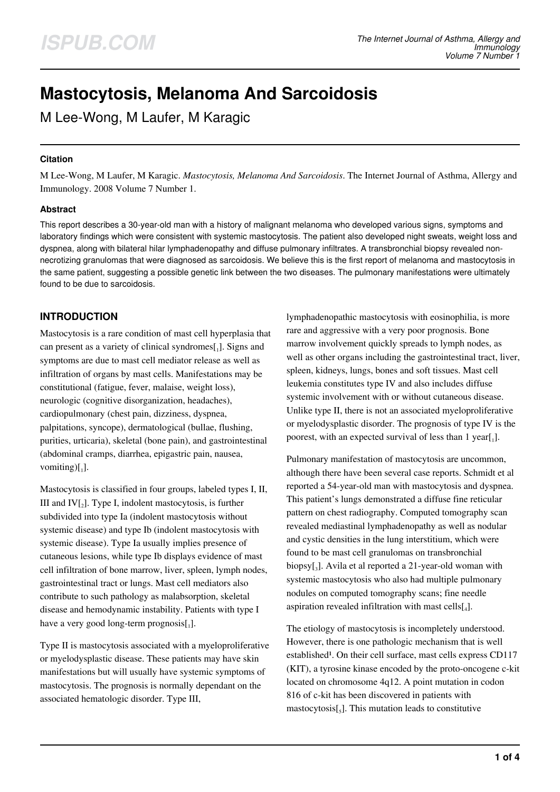# **Mastocytosis, Melanoma And Sarcoidosis**

M Lee-Wong, M Laufer, M Karagic

## **Citation**

M Lee-Wong, M Laufer, M Karagic. *Mastocytosis, Melanoma And Sarcoidosis*. The Internet Journal of Asthma, Allergy and Immunology. 2008 Volume 7 Number 1.

## **Abstract**

This report describes a 30-year-old man with a history of malignant melanoma who developed various signs, symptoms and laboratory findings which were consistent with systemic mastocytosis. The patient also developed night sweats, weight loss and dyspnea, along with bilateral hilar lymphadenopathy and diffuse pulmonary infiltrates. A transbronchial biopsy revealed nonnecrotizing granulomas that were diagnosed as sarcoidosis. We believe this is the first report of melanoma and mastocytosis in the same patient, suggesting a possible genetic link between the two diseases. The pulmonary manifestations were ultimately found to be due to sarcoidosis.

# **INTRODUCTION**

Mastocytosis is a rare condition of mast cell hyperplasia that can present as a variety of clinical syndromes $\begin{bmatrix} 1 \end{bmatrix}$ . Signs and symptoms are due to mast cell mediator release as well as infiltration of organs by mast cells. Manifestations may be constitutional (fatigue, fever, malaise, weight loss), neurologic (cognitive disorganization, headaches), cardiopulmonary (chest pain, dizziness, dyspnea, palpitations, syncope), dermatological (bullae, flushing, purities, urticaria), skeletal (bone pain), and gastrointestinal (abdominal cramps, diarrhea, epigastric pain, nausea, vomiting) $\left[ \begin{smallmatrix} 1 \\ 1 \end{smallmatrix} \right]$ .

Mastocytosis is classified in four groups, labeled types I, II, III and  $IV[<sub>2</sub>]$ . Type I, indolent mastocytosis, is further subdivided into type Ia (indolent mastocytosis without systemic disease) and type Ib (indolent mastocytosis with systemic disease). Type Ia usually implies presence of cutaneous lesions, while type Ib displays evidence of mast cell infiltration of bone marrow, liver, spleen, lymph nodes, gastrointestinal tract or lungs. Mast cell mediators also contribute to such pathology as malabsorption, skeletal disease and hemodynamic instability. Patients with type I have a very good long-term prognosis $[$ <sub>1</sub>].

Type II is mastocytosis associated with a myeloproliferative or myelodysplastic disease. These patients may have skin manifestations but will usually have systemic symptoms of mastocytosis. The prognosis is normally dependant on the associated hematologic disorder. Type III,

lymphadenopathic mastocytosis with eosinophilia, is more rare and aggressive with a very poor prognosis. Bone marrow involvement quickly spreads to lymph nodes, as well as other organs including the gastrointestinal tract, liver, spleen, kidneys, lungs, bones and soft tissues. Mast cell leukemia constitutes type IV and also includes diffuse systemic involvement with or without cutaneous disease. Unlike type II, there is not an associated myeloproliferative or myelodysplastic disorder. The prognosis of type IV is the poorest, with an expected survival of less than 1 year[1].

Pulmonary manifestation of mastocytosis are uncommon, although there have been several case reports. Schmidt et al reported a 54-year-old man with mastocytosis and dyspnea. This patient's lungs demonstrated a diffuse fine reticular pattern on chest radiography. Computed tomography scan revealed mediastinal lymphadenopathy as well as nodular and cystic densities in the lung interstitium, which were found to be mast cell granulomas on transbronchial biopsy[<sup>3</sup> ]. Avila et al reported a 21-year-old woman with systemic mastocytosis who also had multiple pulmonary nodules on computed tomography scans; fine needle aspiration revealed infiltration with mast cells $[I_4]$ .

The etiology of mastocytosis is incompletely understood. However, there is one pathologic mechanism that is well established<sup>1</sup>. On their cell surface, mast cells express CD117 (KIT), a tyrosine kinase encoded by the proto-oncogene c-kit located on chromosome 4q12. A point mutation in codon 816 of c-kit has been discovered in patients with  $m$ astocytosis $[s]$ . This mutation leads to constitutive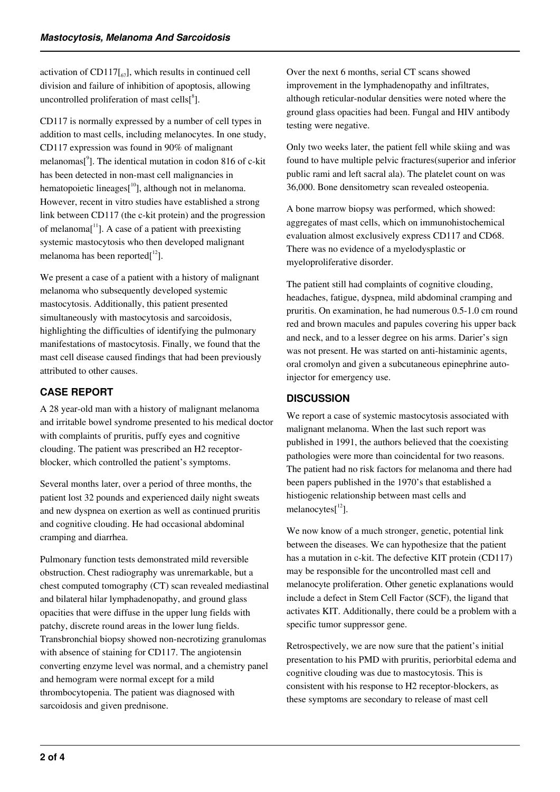activation of  $CD117[_{67}]$ , which results in continued cell division and failure of inhibition of apoptosis, allowing uncontrolled proliferation of mast cells $\binom{8}{1}$ .

CD117 is normally expressed by a number of cell types in addition to mast cells, including melanocytes. In one study, CD117 expression was found in 90% of malignant melanomas<sup>[9</sup>]. The identical mutation in codon 816 of c-kit has been detected in non-mast cell malignancies in hematopoietic lineages $[10]$ , although not in melanoma. However, recent in vitro studies have established a strong link between CD117 (the c-kit protein) and the progression of melanoma<sup>[11</sup>]. A case of a patient with preexisting systemic mastocytosis who then developed malignant melanoma has been reported $\int_1^{12}$ .

We present a case of a patient with a history of malignant melanoma who subsequently developed systemic mastocytosis. Additionally, this patient presented simultaneously with mastocytosis and sarcoidosis, highlighting the difficulties of identifying the pulmonary manifestations of mastocytosis. Finally, we found that the mast cell disease caused findings that had been previously attributed to other causes.

## **CASE REPORT**

A 28 year-old man with a history of malignant melanoma and irritable bowel syndrome presented to his medical doctor with complaints of pruritis, puffy eyes and cognitive clouding. The patient was prescribed an H2 receptorblocker, which controlled the patient's symptoms.

Several months later, over a period of three months, the patient lost 32 pounds and experienced daily night sweats and new dyspnea on exertion as well as continued pruritis and cognitive clouding. He had occasional abdominal cramping and diarrhea.

Pulmonary function tests demonstrated mild reversible obstruction. Chest radiography was unremarkable, but a chest computed tomography (CT) scan revealed mediastinal and bilateral hilar lymphadenopathy, and ground glass opacities that were diffuse in the upper lung fields with patchy, discrete round areas in the lower lung fields. Transbronchial biopsy showed non-necrotizing granulomas with absence of staining for CD117. The angiotensin converting enzyme level was normal, and a chemistry panel and hemogram were normal except for a mild thrombocytopenia. The patient was diagnosed with sarcoidosis and given prednisone.

Over the next 6 months, serial CT scans showed improvement in the lymphadenopathy and infiltrates, although reticular-nodular densities were noted where the ground glass opacities had been. Fungal and HIV antibody testing were negative.

Only two weeks later, the patient fell while skiing and was found to have multiple pelvic fractures(superior and inferior public rami and left sacral ala). The platelet count on was 36,000. Bone densitometry scan revealed osteopenia.

A bone marrow biopsy was performed, which showed: aggregates of mast cells, which on immunohistochemical evaluation almost exclusively express CD117 and CD68. There was no evidence of a myelodysplastic or myeloproliferative disorder.

The patient still had complaints of cognitive clouding, headaches, fatigue, dyspnea, mild abdominal cramping and pruritis. On examination, he had numerous 0.5-1.0 cm round red and brown macules and papules covering his upper back and neck, and to a lesser degree on his arms. Darier's sign was not present. He was started on anti-histaminic agents, oral cromolyn and given a subcutaneous epinephrine autoinjector for emergency use.

## **DISCUSSION**

We report a case of systemic mastocytosis associated with malignant melanoma. When the last such report was published in 1991, the authors believed that the coexisting pathologies were more than coincidental for two reasons. The patient had no risk factors for melanoma and there had been papers published in the 1970's that established a histiogenic relationship between mast cells and melanocytes $[12]$ .

We now know of a much stronger, genetic, potential link between the diseases. We can hypothesize that the patient has a mutation in c-kit. The defective KIT protein (CD117) may be responsible for the uncontrolled mast cell and melanocyte proliferation. Other genetic explanations would include a defect in Stem Cell Factor (SCF), the ligand that activates KIT. Additionally, there could be a problem with a specific tumor suppressor gene.

Retrospectively, we are now sure that the patient's initial presentation to his PMD with pruritis, periorbital edema and cognitive clouding was due to mastocytosis. This is consistent with his response to H2 receptor-blockers, as these symptoms are secondary to release of mast cell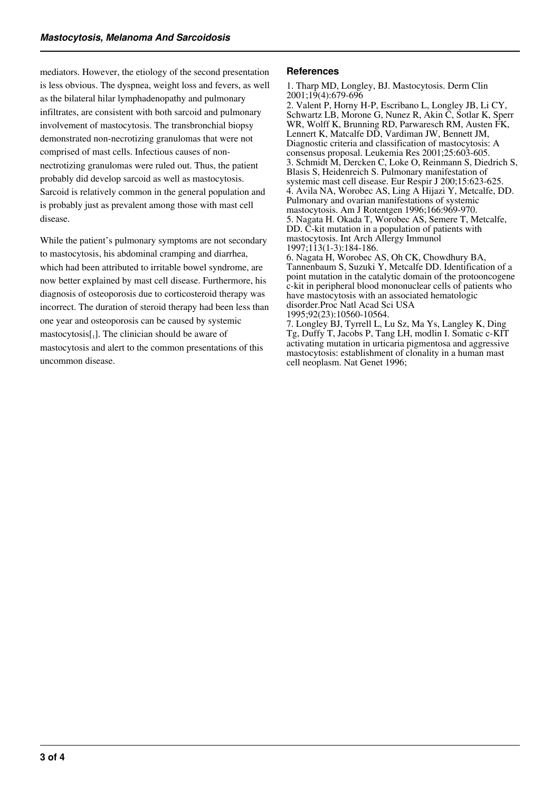mediators. However, the etiology of the second presentation is less obvious. The dyspnea, weight loss and fevers, as well as the bilateral hilar lymphadenopathy and pulmonary infiltrates, are consistent with both sarcoid and pulmonary involvement of mastocytosis. The transbronchial biopsy demonstrated non-necrotizing granulomas that were not comprised of mast cells. Infectious causes of nonnectrotizing granulomas were ruled out. Thus, the patient probably did develop sarcoid as well as mastocytosis. Sarcoid is relatively common in the general population and is probably just as prevalent among those with mast cell disease.

While the patient's pulmonary symptoms are not secondary to mastocytosis, his abdominal cramping and diarrhea, which had been attributed to irritable bowel syndrome, are now better explained by mast cell disease. Furthermore, his diagnosis of osteoporosis due to corticosteroid therapy was incorrect. The duration of steroid therapy had been less than one year and osteoporosis can be caused by systemic  $maxtocytosis[1]$ . The clinician should be aware of mastocytosis and alert to the common presentations of this uncommon disease.

#### **References**

1. Tharp MD, Longley, BJ. Mastocytosis. Derm Clin 2001;19(4):679-696

2. Valent P, Horny H-P, Escribano L, Longley JB, Li CY, Schwartz LB, Morone G, Nunez R, Akin C, Sotlar K, Sperr WR, Wolff K, Brunning RD, Parwaresch RM, Austen FK, Lennert K, Matcalfe DD, Vardiman JW, Bennett JM, Diagnostic criteria and classification of mastocytosis: A consensus proposal. Leukemia Res 2001;25:603-605. 3. Schmidt M, Dercken C, Loke O, Reinmann S, Diedrich S, Blasis S, Heidenreich S. Pulmonary manifestation of systemic mast cell disease. Eur Respir J 200;15:623-625. 4. Avila NA, Worobec AS, Ling A Hijazi Y, Metcalfe, DD. Pulmonary and ovarian manifestations of systemic mastocytosis. Am J Rotentgen 1996;166:969-970. 5. Nagata H. Okada T, Worobec AS, Semere T, Metcalfe, DD. C-kit mutation in a population of patients with mastocytosis. Int Arch Allergy Immunol 1997;113(1-3):184-186.

6. Nagata H, Worobec AS, Oh CK, Chowdhury BA, Tannenbaum S, Suzuki Y, Metcalfe DD. Identification of a point mutation in the catalytic domain of the protooncogene c-kit in peripheral blood mononuclear cells of patients who have mastocytosis with an associated hematologic disorder.Proc Natl Acad Sci USA 1995;92(23):10560-10564.

7. Longley BJ, Tyrrell L, Lu Sz, Ma Ys, Langley K, Ding Tg, Duffy T, Jacobs P, Tang LH, modlin I. Somatic c-KIT activating mutation in urticaria pigmentosa and aggressive mastocytosis: establishment of clonality in a human mast cell neoplasm. Nat Genet 1996;